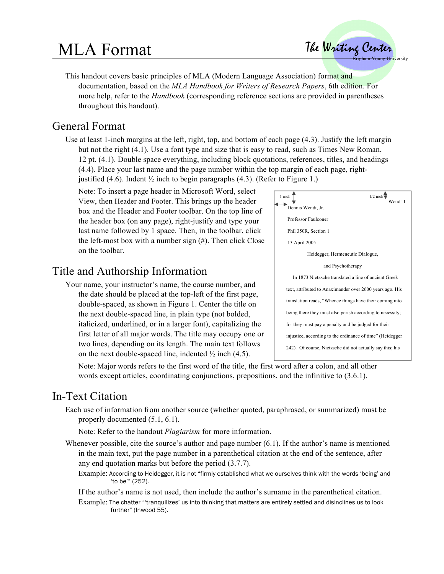# MLA Format

 The Writing Center **Brigham Young University** 

This handout covers basic principles of MLA (Modern Language Association) format and documentation, based on the *MLA Handbook for Writers of Research Papers*, 6th edition. For more help, refer to the *Handbook* (corresponding reference sections are provided in parentheses throughout this handout).

# General Format

Use at least 1-inch margins at the left, right, top, and bottom of each page (4.3). Justify the left margin but not the right (4.1). Use a font type and size that is easy to read, such as Times New Roman, 12 pt. (4.1). Double space everything, including block quotations, references, titles, and headings (4.4). Place your last name and the page number within the top margin of each page, rightjustified (4.6). Indent  $\frac{1}{2}$  inch to begin paragraphs (4.3). (Refer to Figure 1.)

Note: To insert a page header in Microsoft Word, select View, then Header and Footer. This brings up the header box and the Header and Footer toolbar. On the top line of the header box (on any page), right-justify and type your last name followed by 1 space. Then, in the toolbar, click the left-most box with a number sign (#). Then click Close on the toolbar.

# Title and Authorship Information

Your name, your instructor's name, the course number, and the date should be placed at the top-left of the first page, double-spaced, as shown in Figure 1. Center the title on the next double-spaced line, in plain type (not bolded, italicized, underlined, or in a larger font), capitalizing the first letter of all major words. The title may occupy one or two lines, depending on its length. The main text follows on the next double-spaced line, indented  $\frac{1}{2}$  inch (4.5).



Note: Major words refers to the first word of the title, the first word after a colon, and all other words except articles, coordinating conjunctions, prepositions, and the infinitive to (3.6.1).

## In-Text Citation

Each use of information from another source (whether quoted, paraphrased, or summarized) must be properly documented (5.1, 6.1).

Note: Refer to the handout *Plagiarism* for more information.

Whenever possible, cite the source's author and page number (6.1). If the author's name is mentioned in the main text, put the page number in a parenthetical citation at the end of the sentence, after any end quotation marks but before the period (3.7.7).

Example: According to Heidegger, it is not "firmly established what we ourselves think with the words 'being' and 'to be'" (252).

If the author's name is not used, then include the author's surname in the parenthetical citation.

Example: The chatter "'tranquilizes' us into thinking that matters are entirely settled and disinclines us to look further" (Inwood 55).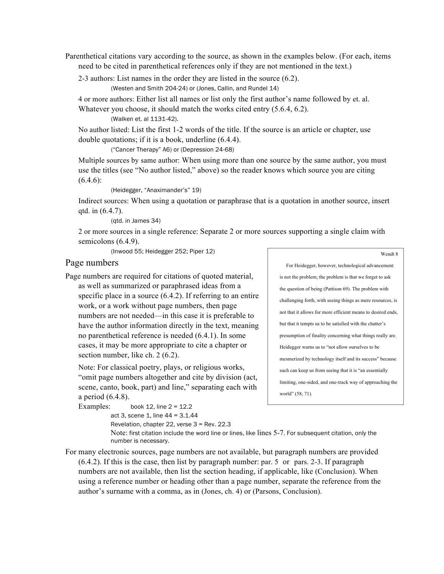Parenthetical citations vary according to the source, as shown in the examples below. (For each, items need to be cited in parenthetical references only if they are not mentioned in the text.)

2-3 authors: List names in the order they are listed in the source (6.2).

(Westen and Smith 204-24) or (Jones, Callin, and Rundel 14)

4 or more authors: Either list all names or list only the first author's name followed by et. al. Whatever you choose, it should match the works cited entry (5.6.4, 6.2).

(Walken et. al 1131-42).

No author listed: List the first 1-2 words of the title. If the source is an article or chapter, use double quotations; if it is a book, underline (6.4.4).

("Cancer Therapy" A6) or (Depression 24-68)

Multiple sources by same author: When using more than one source by the same author, you must use the titles (see "No author listed," above) so the reader knows which source you are citing  $(6.4.6):$ 

(Heidegger, "Anaximander's" 19)

Indirect sources: When using a quotation or paraphrase that is a quotation in another source, insert qtd. in (6.4.7).

(qtd. in James 34)

2 or more sources in a single reference: Separate 2 or more sources supporting a single claim with semicolons  $(6.4.9)$ .

(Inwood 55; Heidegger 252; Piper 12)

### Page numbers

Page numbers are required for citations of quoted material,

as well as summarized or paraphrased ideas from a specific place in a source  $(6.4.2)$ . If referring to an entire work, or a work without page numbers, then page numbers are not needed—in this case it is preferable to have the author information directly in the text, meaning no parenthetical reference is needed (6.4.1). In some cases, it may be more appropriate to cite a chapter or section number, like ch. 2 (6.2).

Note: For classical poetry, plays, or religious works, "omit page numbers altogether and cite by division (act, scene, canto, book, part) and line," separating each with a period (6.4.8).

```
Examples: book 12, line 2 = 12.2act 3, scene 1, line 44 = 3.1.44
```
Revelation, chapter 22, verse 3 = Rev. 22.3

For Heidegger, however, technological advancement is not the problem; the problem is that we forget to ask the question of being (Pattison 69). The problem with challenging forth, with seeing things as mere resources, is not that it allows for more efficient means to desired ends, but that it tempts us to be satisfied with the chatter's presumption of finality concerning what things really are. Heidegger warns us to "not allow ourselves to be mesmerized by technology itself and its success" because such can keep us from seeing that it is "an essentially limiting, one-sided, and one-track way of approaching the world" (58, 71).

Note: first citation include the word line or lines, like lines 5-7. For subsequent citation, only the number is necessary.

For many electronic sources, page numbers are not available, but paragraph numbers are provided (6.4.2). If this is the case, then list by paragraph number: par. 5 or pars. 2-3. If paragraph numbers are not available, then list the section heading, if applicable, like (Conclusion). When using a reference number or heading other than a page number, separate the reference from the author's surname with a comma, as in (Jones, ch. 4) or (Parsons, Conclusion).

#### Wendt 8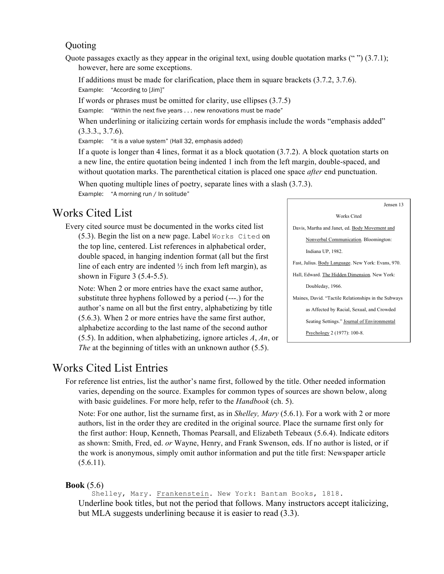### **Quoting**

Quote passages exactly as they appear in the original text, using double quotation marks  $(4)$  (3.7.1); however, here are some exceptions.

If additions must be made for clarification, place them in square brackets (3.7.2, 3.7.6). Example: "According to [Jim]"

If words or phrases must be omitted for clarity, use ellipses (3.7.5)

Example: "Within the next five years . . . new renovations must be made"

When underlining or italicizing certain words for emphasis include the words "emphasis added"  $(3.3.3., 3.7.6).$ 

Example: "it is a value system" (Hall 32, emphasis added)

If a quote is longer than 4 lines, format it as a block quotation (3.7.2). A block quotation starts on a new line, the entire quotation being indented 1 inch from the left margin, double-spaced, and without quotation marks. The parenthetical citation is placed one space *after* end punctuation.

When quoting multiple lines of poetry, separate lines with a slash  $(3.7.3)$ . Example: "A morning run / In solitude"

### Works Cited List

Every cited source must be documented in the works cited list (5.3). Begin the list on a new page. Label Works Cited on the top line, centered. List references in alphabetical order, double spaced, in hanging indention format (all but the first line of each entry are indented  $\frac{1}{2}$  inch from left margin), as shown in Figure 3 (5.4-5.5).

Note: When 2 or more entries have the exact same author, substitute three hyphens followed by a period (---.) for the author's name on all but the first entry, alphabetizing by title (5.6.3). When 2 or more entries have the same first author, alphabetize according to the last name of the second author (5.5). In addition, when alphabetizing, ignore articles *A*, *An*, or *The* at the beginning of titles with an unknown author (5.5).

### Jensen 13 Works Cited Davis, Martha and Janet, ed. Body Movement and Nonverbal Communication. Bloomington: Indiana UP, 1982. Fast, Julius. Body Language. New York: Evans, 970. Hall, Edward. The Hidden Dimension. New York: Doubleday, 1966. Maines, David. "Tactile Relationships in the Subways as Affected by Racial, Sexual, and Crowded Seating Settings." Journal of Environmental Psychology 2 (1977): 100-8.

### Works Cited List Entries

For reference list entries, list the author's name first, followed by the title. Other needed information varies, depending on the source. Examples for common types of sources are shown below, along with basic guidelines. For more help, refer to the *Handbook* (ch. 5).

Note: For one author, list the surname first, as in *Shelley, Mary* (5.6.1). For a work with 2 or more authors, list in the order they are credited in the original source. Place the surname first only for the first author: Houp, Kenneth, Thomas Pearsall, and Elizabeth Tebeaux (5.6.4). Indicate editors as shown: Smith, Fred, ed. *or* Wayne, Henry, and Frank Swenson, eds. If no author is listed, or if the work is anonymous, simply omit author information and put the title first: Newspaper article  $(5.6.11).$ 

### **Book** (5.6)

Shelley, Mary. Frankenstein. New York: Bantam Books, 1818. Underline book titles, but not the period that follows. Many instructors accept italicizing, but MLA suggests underlining because it is easier to read (3.3).